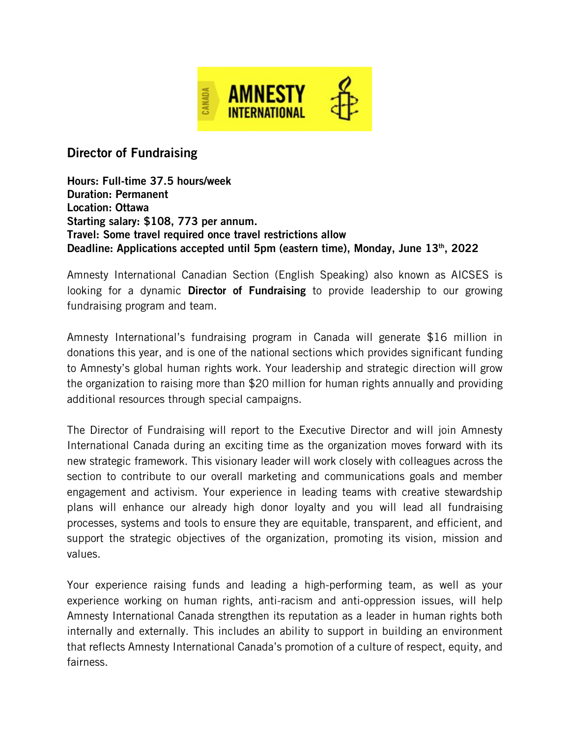

## Director of Fundraising

Hours: Full-time 37.5 hours/week Duration: Permanent Location: Ottawa Starting salary: \$108, 773 per annum. Travel: Some travel required once travel restrictions allow Deadline: Applications accepted until 5pm (eastern time), Monday, June  $13<sup>th</sup>$ , 2022

Amnesty International Canadian Section (English Speaking) also known as AICSES is looking for a dynamic **Director of Fundraising** to provide leadership to our growing fundraising program and team.

Amnesty International's fundraising program in Canada will generate \$16 million in donations this year, and is one of the national sections which provides significant funding to Amnesty's global human rights work. Your leadership and strategic direction will grow the organization to raising more than \$20 million for human rights annually and providing additional resources through special campaigns.

The Director of Fundraising will report to the Executive Director and will join Amnesty International Canada during an exciting time as the organization moves forward with its new strategic framework. This visionary leader will work closely with colleagues across the section to contribute to our overall marketing and communications goals and member engagement and activism. Your experience in leading teams with creative stewardship plans will enhance our already high donor loyalty and you will lead all fundraising processes, systems and tools to ensure they are equitable, transparent, and efficient, and support the strategic objectives of the organization, promoting its vision, mission and values.

Your experience raising funds and leading a high-performing team, as well as your experience working on human rights, anti-racism and anti-oppression issues, will help Amnesty International Canada strengthen its reputation as a leader in human rights both internally and externally. This includes an ability to support in building an environment that reflects Amnesty International Canada's promotion of a culture of respect, equity, and fairness.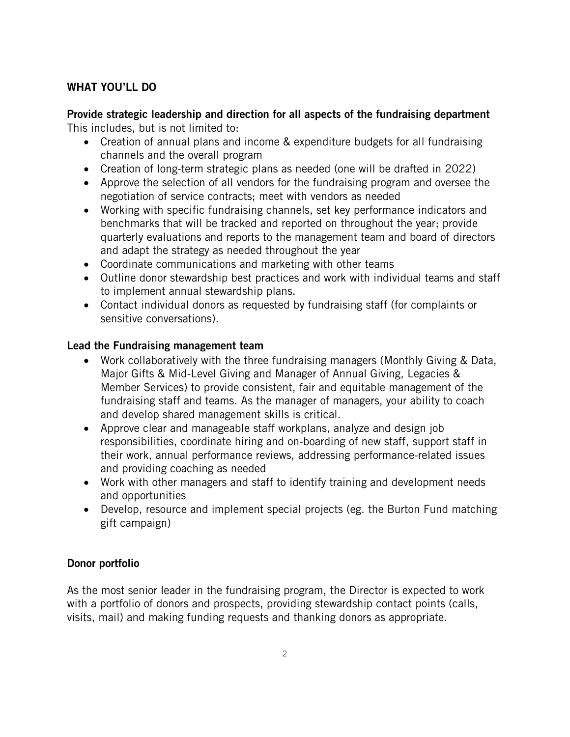#### WHAT YOU'LL DO

# Provide strategic leadership and direction for all aspects of the fundraising department

This includes, but is not limited to:

- Creation of annual plans and income & expenditure budgets for all fundraising channels and the overall program
- Creation of long-term strategic plans as needed (one will be drafted in 2022)
- Approve the selection of all vendors for the fundraising program and oversee the negotiation of service contracts; meet with vendors as needed
- Working with specific fundraising channels, set key performance indicators and benchmarks that will be tracked and reported on throughout the year; provide quarterly evaluations and reports to the management team and board of directors and adapt the strategy as needed throughout the year
- Coordinate communications and marketing with other teams
- Outline donor stewardship best practices and work with individual teams and staff to implement annual stewardship plans.
- Contact individual donors as requested by fundraising staff (for complaints or sensitive conversations).

#### Lead the Fundraising management team

- Work collaboratively with the three fundraising managers (Monthly Giving & Data, Major Gifts & Mid-Level Giving and Manager of Annual Giving, Legacies & Member Services) to provide consistent, fair and equitable management of the fundraising staff and teams. As the manager of managers, your ability to coach and develop shared management skills is critical.
- Approve clear and manageable staff workplans, analyze and design job responsibilities, coordinate hiring and on-boarding of new staff, support staff in their work, annual performance reviews, addressing performance-related issues and providing coaching as needed
- Work with other managers and staff to identify training and development needs and opportunities
- Develop, resource and implement special projects (eg. the Burton Fund matching gift campaign)

## Donor portfolio

As the most senior leader in the fundraising program, the Director is expected to work with a portfolio of donors and prospects, providing stewardship contact points (calls, visits, mail) and making funding requests and thanking donors as appropriate.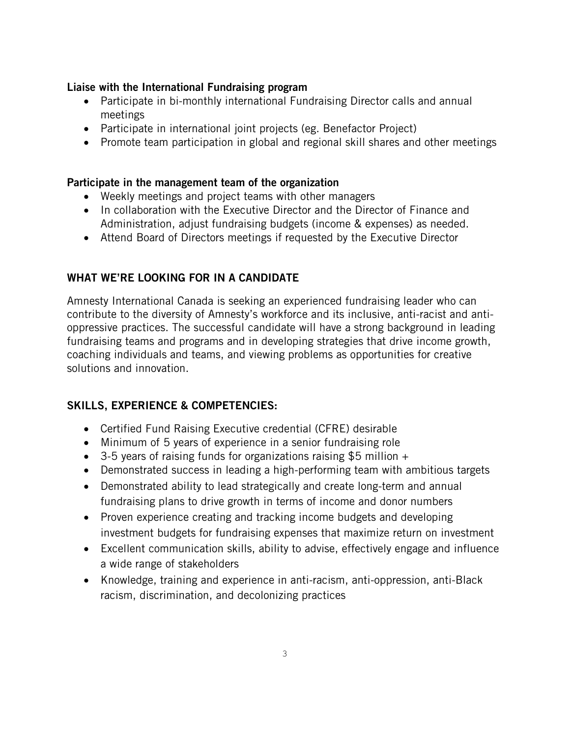#### Liaise with the International Fundraising program

- Participate in bi-monthly international Fundraising Director calls and annual meetings
- Participate in international joint projects (eg. Benefactor Project)
- Promote team participation in global and regional skill shares and other meetings

#### Participate in the management team of the organization

- Weekly meetings and project teams with other managers
- In collaboration with the Executive Director and the Director of Finance and Administration, adjust fundraising budgets (income & expenses) as needed.
- Attend Board of Directors meetings if requested by the Executive Director

## WHAT WE'RE LOOKING FOR IN A CANDIDATE

Amnesty International Canada is seeking an experienced fundraising leader who can contribute to the diversity of Amnesty's workforce and its inclusive, anti-racist and antioppressive practices. The successful candidate will have a strong background in leading fundraising teams and programs and in developing strategies that drive income growth, coaching individuals and teams, and viewing problems as opportunities for creative solutions and innovation.

#### SKILLS, EXPERIENCE & COMPETENCIES:

- Certified Fund Raising Executive credential (CFRE) desirable
- Minimum of 5 years of experience in a senior fundraising role
- 3-5 years of raising funds for organizations raising \$5 million +
- Demonstrated success in leading a high-performing team with ambitious targets
- Demonstrated ability to lead strategically and create long-term and annual fundraising plans to drive growth in terms of income and donor numbers
- Proven experience creating and tracking income budgets and developing investment budgets for fundraising expenses that maximize return on investment
- Excellent communication skills, ability to advise, effectively engage and influence a wide range of stakeholders
- Knowledge, training and experience in anti-racism, anti-oppression, anti-Black racism, discrimination, and decolonizing practices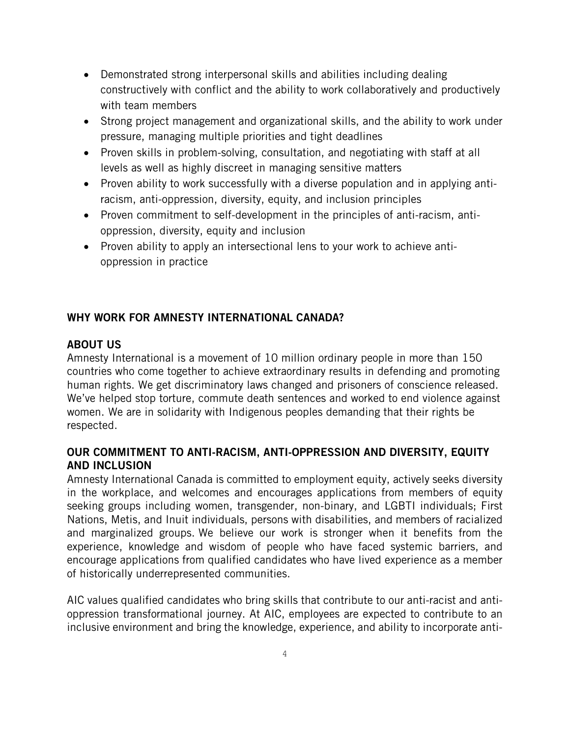- Demonstrated strong interpersonal skills and abilities including dealing constructively with conflict and the ability to work collaboratively and productively with team members
- Strong project management and organizational skills, and the ability to work under pressure, managing multiple priorities and tight deadlines
- Proven skills in problem-solving, consultation, and negotiating with staff at all levels as well as highly discreet in managing sensitive matters
- Proven ability to work successfully with a diverse population and in applying antiracism, anti-oppression, diversity, equity, and inclusion principles
- Proven commitment to self-development in the principles of anti-racism, antioppression, diversity, equity and inclusion
- Proven ability to apply an intersectional lens to your work to achieve antioppression in practice

## WHY WORK FOR AMNESTY INTERNATIONAL CANADA?

## ABOUT US

Amnesty International is a movement of 10 million ordinary people in more than 150 countries who come together to achieve extraordinary results in defending and promoting human rights. We get discriminatory laws changed and prisoners of conscience released. We've helped stop torture, commute death sentences and worked to end violence against women. We are in solidarity with Indigenous peoples demanding that their rights be respected.

## OUR COMMITMENT TO ANTI-RACISM, ANTI-OPPRESSION AND DIVERSITY, EQUITY AND INCLUSION

Amnesty International Canada is committed to employment equity, actively seeks diversity in the workplace, and welcomes and encourages applications from members of equity seeking groups including women, transgender, non-binary, and LGBTI individuals; First Nations, Metis, and Inuit individuals, persons with disabilities, and members of racialized and marginalized groups. We believe our work is stronger when it benefits from the experience, knowledge and wisdom of people who have faced systemic barriers, and encourage applications from qualified candidates who have lived experience as a member of historically underrepresented communities.

AIC values qualified candidates who bring skills that contribute to our anti-racist and antioppression transformational journey. At AIC, employees are expected to contribute to an inclusive environment and bring the knowledge, experience, and ability to incorporate anti